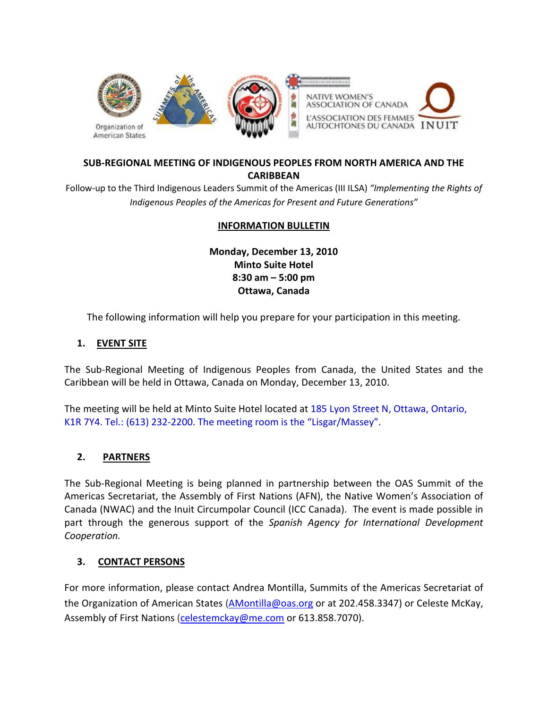

# SUB-REGIONAL MEETING OF INDIGENOUS PEOPLES FROM NORTH AMERICA AND THE **CARIBBEAN**

Follow-up to the Third Indigenous Leaders Summit of the Americas (III ILSA) "Implementing the Rights of Indigenous Peoples of the Americas for Present and Future Generations"

## INFORMATION BULLETIN

Monday, December 13, 2010 Minto Suite Hotel 8:30 am – 5:00 pm Ottawa, Canada

The following information will help you prepare for your participation in this meeting.

#### 1. EVENT SITE

The Sub-Regional Meeting of Indigenous Peoples from Canada, the United States and the Caribbean will be held in Ottawa, Canada on Monday, December 13, 2010.

The meeting will be held at Minto Suite Hotel located at 185 Lyon Street N, Ottawa, Ontario, K1R 7Y4. Tel.: (613) 232-2200. The meeting room is the "Lisgar/Massey".

#### 2. PARTNERS

The Sub-Regional Meeting is being planned in partnership between the OAS Summit of the Americas Secretariat, the Assembly of First Nations (AFN), the Native Women's Association of Canada (NWAC) and the Inuit Circumpolar Council (ICC Canada). The event is made possible in part through the generous support of the Spanish Agency for International Development Cooperation.

#### 3. CONTACT PERSONS

For more information, please contact Andrea Montilla, Summits of the Americas Secretariat of the Organization of American States (AMontilla@oas.org or at 202.458.3347) or Celeste McKay, Assembly of First Nations (celestemckay@me.com or 613.858.7070).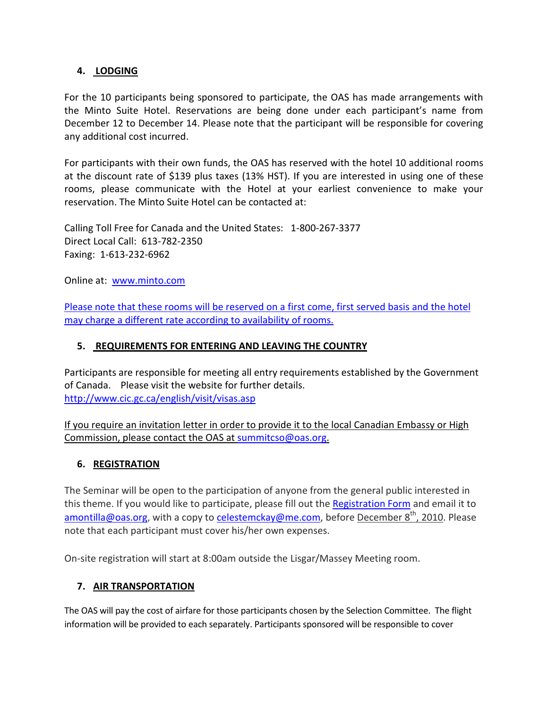## 4. LODGING

For the 10 participants being sponsored to participate, the OAS has made arrangements with the Minto Suite Hotel. Reservations are being done under each participant's name from December 12 to December 14. Please note that the participant will be responsible for covering any additional cost incurred.

For participants with their own funds, the OAS has reserved with the hotel 10 additional rooms at the discount rate of \$139 plus taxes (13% HST). If you are interested in using one of these rooms, please communicate with the Hotel at your earliest convenience to make your reservation. The Minto Suite Hotel can be contacted at:

Calling Toll Free for Canada and the United States: 1-800-267-3377 Direct Local Call: 613-782-2350 Faxing: 1-613-232-6962

Online at: www.minto.com

Please note that these rooms will be reserved on a first come, first served basis and the hotel may charge a different rate according to availability of rooms.

# 5. REQUIREMENTS FOR ENTERING AND LEAVING THE COUNTRY

Participants are responsible for meeting all entry requirements established by the Government of Canada. Please visit the website for further details. http://www.cic.gc.ca/english/visit/visas.asp

If you require an invitation letter in order to provide it to the local Canadian Embassy or High Commission, please contact the OAS at summitcso@oas.org.

## 6. REGISTRATION

The Seminar will be open to the participation of anyone from the general public interested in this theme. If you would like to participate, please fill out the Registration Form and email it to amontilla@oas.org, with a copy to celestemckay@me.com, before December 8<sup>th</sup>, 2010. Please note that each participant must cover his/her own expenses.

On-site registration will start at 8:00am outside the Lisgar/Massey Meeting room.

## 7. AIR TRANSPORTATION

The OAS will pay the cost of airfare for those participants chosen by the Selection Committee. The flight information will be provided to each separately. Participants sponsored will be responsible to cover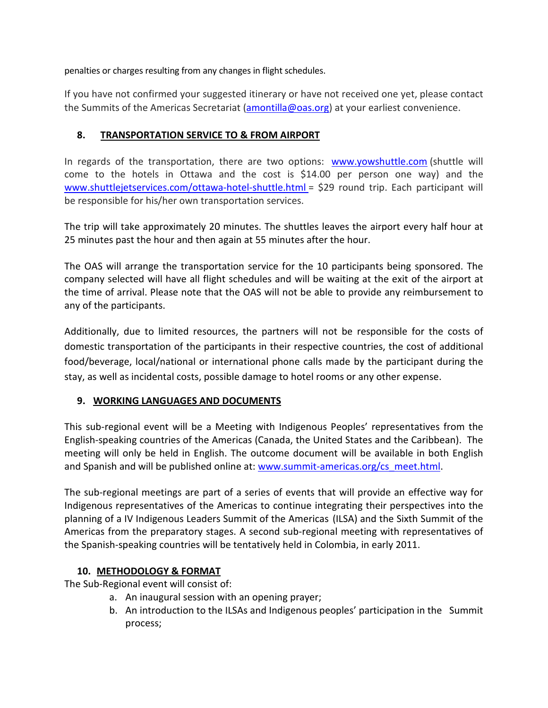penalties or charges resulting from any changes in flight schedules.

If you have not confirmed your suggested itinerary or have not received one yet, please contact the Summits of the Americas Secretariat (amontilla@oas.org) at your earliest convenience.

# 8. TRANSPORTATION SERVICE TO & FROM AIRPORT

In regards of the transportation, there are two options: www.yowshuttle.com (shuttle will come to the hotels in Ottawa and the cost is \$14.00 per person one way) and the www.shuttlejetservices.com/ottawa-hotel-shuttle.html = \$29 round trip. Each participant will be responsible for his/her own transportation services.

The trip will take approximately 20 minutes. The shuttles leaves the airport every half hour at 25 minutes past the hour and then again at 55 minutes after the hour.

The OAS will arrange the transportation service for the 10 participants being sponsored. The company selected will have all flight schedules and will be waiting at the exit of the airport at the time of arrival. Please note that the OAS will not be able to provide any reimbursement to any of the participants.

Additionally, due to limited resources, the partners will not be responsible for the costs of domestic transportation of the participants in their respective countries, the cost of additional food/beverage, local/national or international phone calls made by the participant during the stay, as well as incidental costs, possible damage to hotel rooms or any other expense.

## 9. WORKING LANGUAGES AND DOCUMENTS

This sub-regional event will be a Meeting with Indigenous Peoples' representatives from the English-speaking countries of the Americas (Canada, the United States and the Caribbean). The meeting will only be held in English. The outcome document will be available in both English and Spanish and will be published online at: www.summit-americas.org/cs\_meet.html.

The sub-regional meetings are part of a series of events that will provide an effective way for Indigenous representatives of the Americas to continue integrating their perspectives into the planning of a IV Indigenous Leaders Summit of the Americas (ILSA) and the Sixth Summit of the Americas from the preparatory stages. A second sub-regional meeting with representatives of the Spanish-speaking countries will be tentatively held in Colombia, in early 2011.

## 10. METHODOLOGY & FORMAT

The Sub-Regional event will consist of:

- a. An inaugural session with an opening prayer;
- b. An introduction to the ILSAs and Indigenous peoples' participation in the Summit process;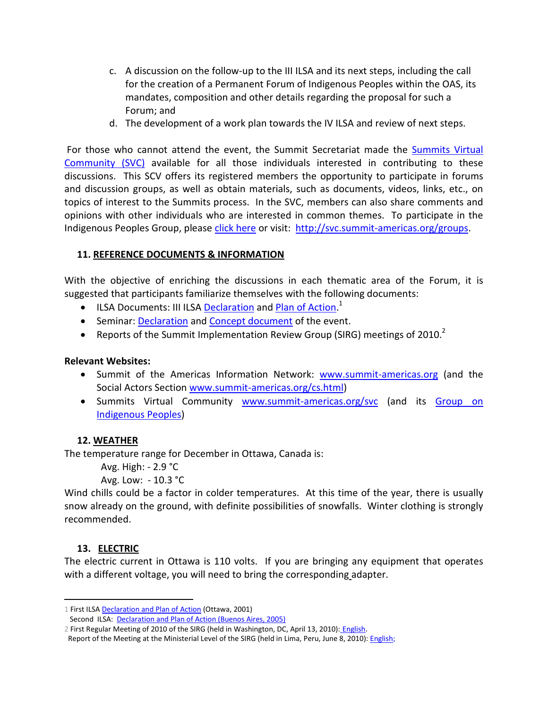- c. A discussion on the follow-up to the III ILSA and its next steps, including the call for the creation of a Permanent Forum of Indigenous Peoples within the OAS, its mandates, composition and other details regarding the proposal for such a Forum; and
- d. The development of a work plan towards the IV ILSA and review of next steps.

 For those who cannot attend the event, the Summit Secretariat made the Summits Virtual Community (SVC) available for all those individuals interested in contributing to these discussions. This SCV offers its registered members the opportunity to participate in forums and discussion groups, as well as obtain materials, such as documents, videos, links, etc., on topics of interest to the Summits process. In the SVC, members can also share comments and opinions with other individuals who are interested in common themes. To participate in the Indigenous Peoples Group, please click here or visit: http://svc.summit-americas.org/groups.

## 11. REFERENCE DOCUMENTS & INFORMATION

With the objective of enriching the discussions in each thematic area of the Forum, it is suggested that participants familiarize themselves with the following documents:

- ILSA Documents: III ILSA Declaration and Plan of Action.<sup>1</sup>
- Seminar: Declaration and Concept document of the event.
- Reports of the Summit Implementation Review Group (SIRG) meetings of 2010.<sup>2</sup>

## Relevant Websites:

- Summit of the Americas Information Network: www.summit-americas.org (and the Social Actors Section www.summit-americas.org/cs.html)
- Summits Virtual Community www.summit-americas.org/svc (and its Group on Indigenous Peoples)

## 12. WEATHER

The temperature range for December in Ottawa, Canada is:

Avg. High: - 2.9 °C

Avg. Low: - 10.3 °C

Wind chills could be a factor in colder temperatures. At this time of the year, there is usually snow already on the ground, with definite possibilities of snowfalls. Winter clothing is strongly recommended.

## 13. ELECTRIC

<u>.</u>

The electric current in Ottawa is 110 volts. If you are bringing any equipment that operates with a different voltage, you will need to bring the corresponding adapter.

<sup>1</sup> First ILSA Declaration and Plan of Action (Ottawa, 2001)

Second ILSA: Declaration and Plan of Action (Buenos Aires, 2005)

<sup>2</sup> First Regular Meeting of 2010 of the SIRG (held in Washington, DC, April 13, 2010): English.

Report of the Meeting at the Ministerial Level of the SIRG (held in Lima, Peru, June 8, 2010): English;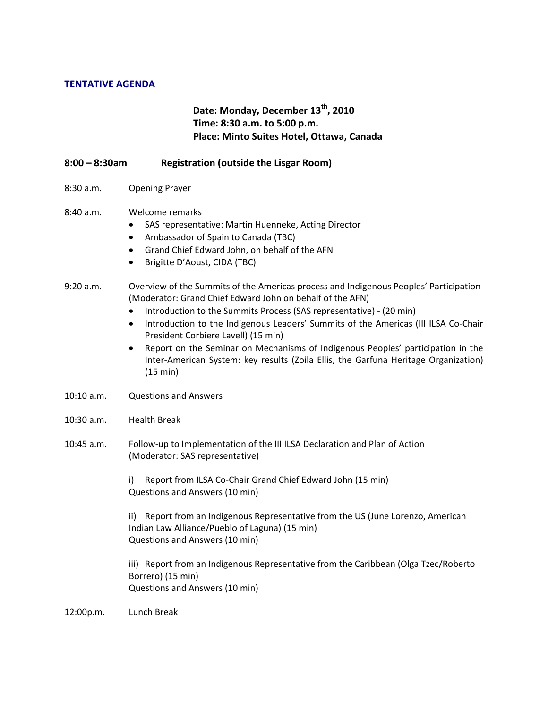#### TENTATIVE AGENDA

# Date: Monday, December 13<sup>th</sup>, 2010 Time: 8:30 a.m. to 5:00 p.m. Place: Minto Suites Hotel, Ottawa, Canada

- 8:00 8:30am Registration (outside the Lisgar Room)
- 8:30 a.m. Opening Prayer

#### 8:40 a.m. Welcome remarks

- SAS representative: Martin Huenneke, Acting Director
- Ambassador of Spain to Canada (TBC)
- Grand Chief Edward John, on behalf of the AFN
- Brigitte D'Aoust, CIDA (TBC)

#### 9:20 a.m. Overview of the Summits of the Americas process and Indigenous Peoples' Participation (Moderator: Grand Chief Edward John on behalf of the AFN)

- Introduction to the Summits Process (SAS representative) (20 min)
- Introduction to the Indigenous Leaders' Summits of the Americas (III ILSA Co-Chair President Corbiere Lavell) (15 min)
- Report on the Seminar on Mechanisms of Indigenous Peoples' participation in the Inter-American System: key results (Zoila Ellis, the Garfuna Heritage Organization) (15 min)
- 10:10 a.m. Questions and Answers
- 10:30 a.m. Health Break
- 10:45 a.m. Follow-up to Implementation of the III ILSA Declaration and Plan of Action (Moderator: SAS representative)

i) Report from ILSA Co-Chair Grand Chief Edward John (15 min) Questions and Answers (10 min)

ii) Report from an Indigenous Representative from the US (June Lorenzo, American Indian Law Alliance/Pueblo of Laguna) (15 min) Questions and Answers (10 min)

iii) Report from an Indigenous Representative from the Caribbean (Olga Tzec/Roberto Borrero) (15 min) Questions and Answers (10 min)

12:00p.m. Lunch Break